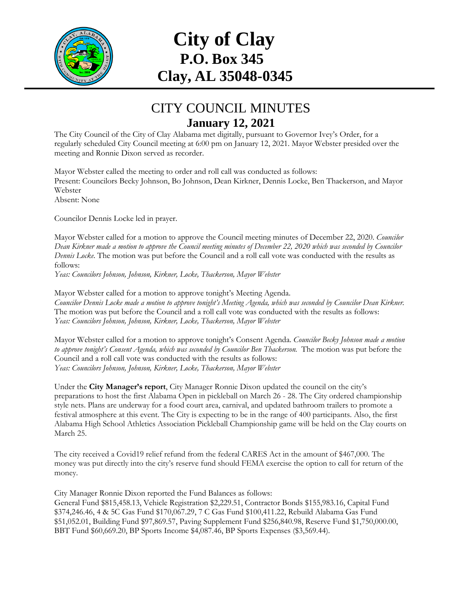

## **City of Clay P.O. Box 345 Clay, AL 35048-0345**

## CITY COUNCIL MINUTES **January 12, 2021**

The City Council of the City of Clay Alabama met digitally, pursuant to Governor Ivey's Order, for a regularly scheduled City Council meeting at 6:00 pm on January 12, 2021. Mayor Webster presided over the meeting and Ronnie Dixon served as recorder.

Mayor Webster called the meeting to order and roll call was conducted as follows: Present: Councilors Becky Johnson, Bo Johnson, Dean Kirkner, Dennis Locke, Ben Thackerson, and Mayor Webster Absent: None

Councilor Dennis Locke led in prayer.

Mayor Webster called for a motion to approve the Council meeting minutes of December 22, 2020. *Councilor Dean Kirkner made a motion to approve the Council meeting minutes of December 22, 2020 which was seconded by Councilor Dennis Locke.* The motion was put before the Council and a roll call vote was conducted with the results as follows:

*Yeas: Councilors Johnson, Johnson, Kirkner, Locke, Thackerson, Mayor Webster* 

Mayor Webster called for a motion to approve tonight's Meeting Agenda. *Councilor Dennis Locke made a motion to approve tonight's Meeting Agenda, which was seconded by Councilor Dean Kirkner.* The motion was put before the Council and a roll call vote was conducted with the results as follows: *Yeas: Councilors Johnson, Johnson, Kirkner, Locke, Thackerson, Mayor Webster* 

Mayor Webster called for a motion to approve tonight's Consent Agenda. *Councilor Becky Johnson made a motion*  to approve tonight's Consent Agenda, which was seconded by Councilor Ben Thackerson. The motion was put before the Council and a roll call vote was conducted with the results as follows: *Yeas: Councilors Johnson, Johnson, Kirkner, Locke, Thackerson, Mayor Webster*

Under the **City Manager's report**, City Manager Ronnie Dixon updated the council on the city's preparations to host the first Alabama Open in pickleball on March 26 - 28. The City ordered championship style nets. Plans are underway for a food court area, carnival, and updated bathroom trailers to promote a festival atmosphere at this event. The City is expecting to be in the range of 400 participants. Also, the first Alabama High School Athletics Association Pickleball Championship game will be held on the Clay courts on March 25.

The city received a Covid19 relief refund from the federal CARES Act in the amount of \$467,000. The money was put directly into the city's reserve fund should FEMA exercise the option to call for return of the money.

City Manager Ronnie Dixon reported the Fund Balances as follows:

General Fund \$815,458.13, Vehicle Registration \$2,229.51, Contractor Bonds \$155,983.16, Capital Fund \$374,246.46, 4 & 5C Gas Fund \$170,067.29, 7 C Gas Fund \$100,411.22, Rebuild Alabama Gas Fund \$51,052.01, Building Fund \$97,869.57, Paving Supplement Fund \$256,840.98, Reserve Fund \$1,750,000.00, BBT Fund \$60,669.20, BP Sports Income \$4,087.46, BP Sports Expenses (\$3,569.44).